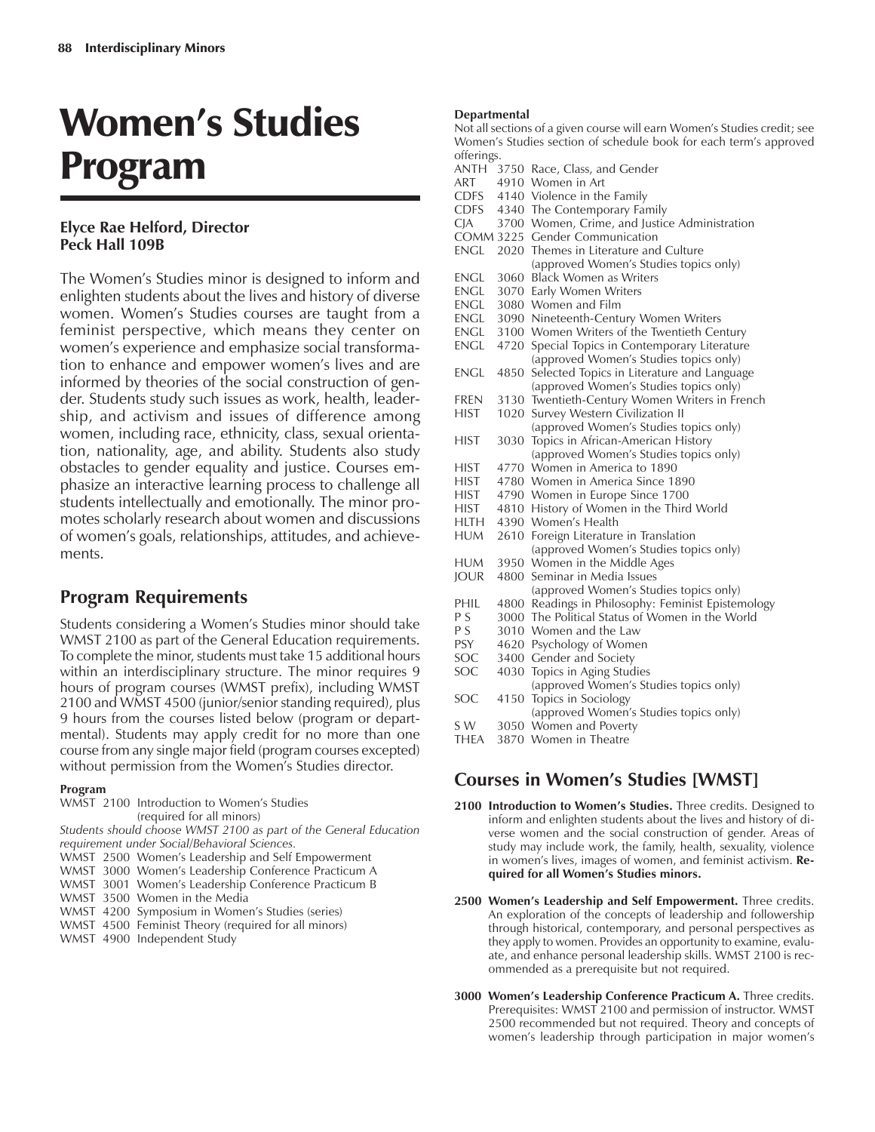# Women's Studies Program

### **Elyce Rae Helford, Director Peck Hall 109B**

The Women's Studies minor is designed to inform and enlighten students about the lives and history of diverse women. Women's Studies courses are taught from a feminist perspective, which means they center on womenís experience and emphasize social transformation to enhance and empower women's lives and are informed by theories of the social construction of gender. Students study such issues as work, health, leadership, and activism and issues of difference among women, including race, ethnicity, class, sexual orientation, nationality, age, and ability. Students also study obstacles to gender equality and justice. Courses emphasize an interactive learning process to challenge all students intellectually and emotionally. The minor promotes scholarly research about women and discussions of womenís goals, relationships, attitudes, and achievements.

## **Program Requirements**

Students considering a Womenís Studies minor should take WMST 2100 as part of the General Education requirements. To complete the minor, students must take 15 additional hours within an interdisciplinary structure. The minor requires 9 hours of program courses (WMST prefix), including WMST 2100 and WMST 4500 (junior/senior standing required), plus 9 hours from the courses listed below (program or departmental). Students may apply credit for no more than one course from any single major field (program courses excepted) without permission from the Women's Studies director.

#### **Program**

WMST 2100 Introduction to Womenís Studies (required for all minors) *Students should choose WMST 2100 as part of the General Education requirement under Social/Behavioral Sciences.* WMST 2500 Women's Leadership and Self Empowerment WMST 3000 Womenís Leadership Conference Practicum A WMST 3001 Women's Leadership Conference Practicum B WMST 3500 Women in the Media WMST 4200 Symposium in Womenís Studies (series) WMST 4500 Feminist Theory (required for all minors) WMST 4900 Independent Study

#### **Departmental**

Not all sections of a given course will earn Women's Studies credit; see Women's Studies section of schedule book for each term's approved  $offoring$ 

| onenngs.    |  |                                                                               |
|-------------|--|-------------------------------------------------------------------------------|
| anth        |  | 3750 Race, Class, and Gender                                                  |
| ART         |  | 4910 Women in Art                                                             |
| <b>CDFS</b> |  | 4140 Violence in the Family                                                   |
| <b>CDFS</b> |  | 4340 The Contemporary Family<br>3700 Women, Crime, and Justice Administration |
| CЈА         |  |                                                                               |
|             |  | COMM 3225 Gender Communication                                                |
| engl        |  | 2020 Themes in Literature and Culture                                         |
|             |  | (approved Women's Studies topics only)                                        |
| engl        |  | 3060 Black Women as Writers                                                   |
| engl        |  | 3070 Early Women Writers                                                      |
| engl        |  | 3080 Women and Film                                                           |
| engl        |  | 3090 Nineteenth-Century Women Writers                                         |
| engl        |  | 3100 Women Writers of the Twentieth Century                                   |
| engl        |  | 4720 Special Topics in Contemporary Literature                                |
|             |  | (approved Women's Studies topics only)                                        |
| engl        |  | 4850 Selected Topics in Literature and Language                               |
|             |  | (approved Women's Studies topics only)                                        |
| <b>FREN</b> |  | 3130 Twentieth-Century Women Writers in French                                |
| <b>HIST</b> |  | 1020 Survey Western Civilization II                                           |
|             |  | (approved Women's Studies topics only)                                        |
| hist        |  | 3030 Topics in African-American History                                       |
|             |  | (approved Women's Studies topics only)                                        |
| hist        |  | 4770 Women in America to 1890                                                 |
| hist        |  | 4780 Women in America Since 1890                                              |
| hist        |  | 4790 Women in Europe Since 1700                                               |
| HIST        |  | 4810 History of Women in the Third World                                      |
| HLTH        |  | 4390 Women's Health                                                           |
| HUM         |  | 2610 Foreign Literature in Translation                                        |
|             |  | (approved Women's Studies topics only)                                        |
| HUM         |  | 3950 Women in the Middle Ages                                                 |
| <b>JOUR</b> |  | 4800 Seminar in Media Issues                                                  |
|             |  | (approved Women's Studies topics only)                                        |
| PHIL        |  | 4800 Readings in Philosophy: Feminist Epistemology                            |
| P S         |  | 3000 The Political Status of Women in the World                               |
| P S         |  | 3010 Women and the Law                                                        |
| <b>PSY</b>  |  | 4620 Psychology of Women                                                      |
| SOC         |  | 3400 Gender and Society                                                       |
| SOC         |  | 4030 Topics in Aging Studies                                                  |
|             |  | (approved Women's Studies topics only)                                        |
| SOC         |  | 4150 Topics in Sociology                                                      |
|             |  | (approved Women's Studies topics only)                                        |

S W 3050 Women and Poverty THEA 3870 Women in Theatre

## **Courses in Womenís Studies [WMST]**

- 2100 **Introduction to Women's Studies.** Three credits. Designed to inform and enlighten students about the lives and history of diverse women and the social construction of gender. Areas of study may include work, the family, health, sexuality, violence in womenís lives, images of women, and feminist activism. **Required for all Womenís Studies minors.**
- 2500 Women's Leadership and Self Empowerment. Three credits. An exploration of the concepts of leadership and followership through historical, contemporary, and personal perspectives as they apply to women. Provides an opportunity to examine, evaluate, and enhance personal leadership skills. WMST 2100 is recommended as a prerequisite but not required.
- 3000 Women's Leadership Conference Practicum A. Three credits. Prerequisites: WMST 2100 and permission of instructor. WMST 2500 recommended but not required. Theory and concepts of women's leadership through participation in major women's